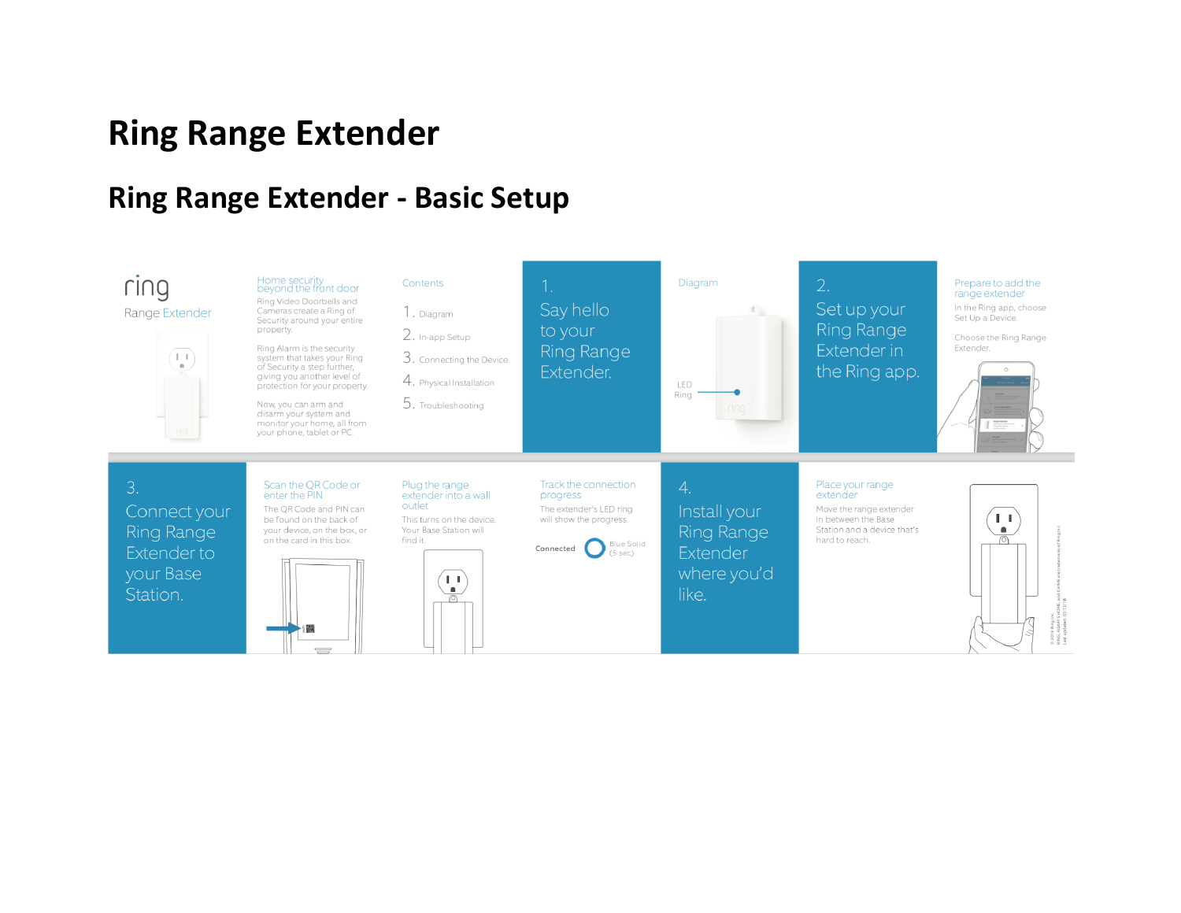# **Ring Range Extender**

### **Ring Range Extender - Basic Setup**

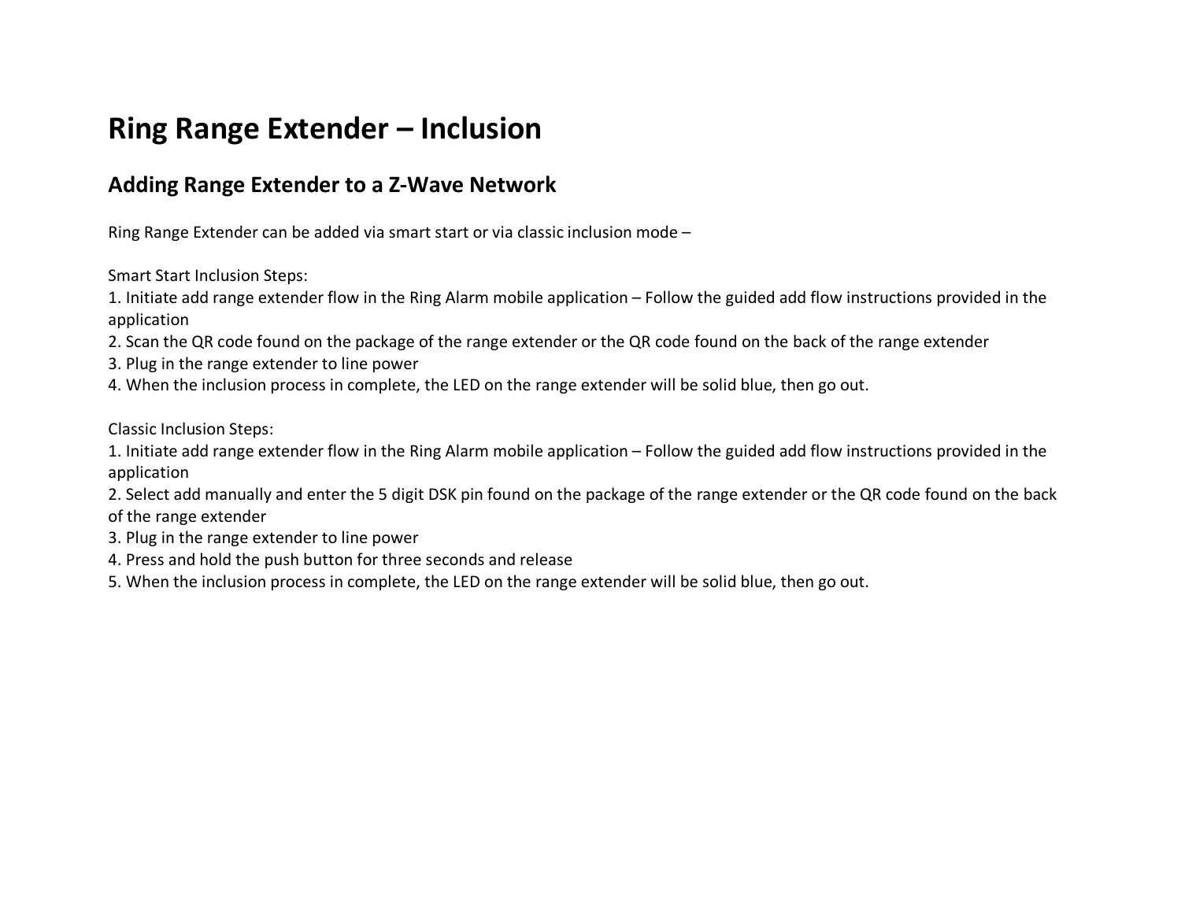### **Ring Range Extender – Inclusion**

#### **Adding Range Extender to a Z-Wave Network**

Ring Range Extender can be added via smart start or via classic inclusion mode –

Smart Start Inclusion Steps:

1. Initiate add range extender flow in the Ring Alarm mobile application – Follow the guided add flow instructions provided in the application

2. Scan the QR code found on the package of the range extender or the QR code found on the back of the range extender

3. Plug in the range extender to line power

4. When the inclusion process in complete, the LED on the range extender will be solid blue, then go out.

Classic Inclusion Steps:

1. Initiate add range extender flow in the Ring Alarm mobile application – Follow the guided add flow instructions provided in the application

2. Select add manually and enter the 5 digit DSK pin found on the package of the range extender or the QR code found on the back of the range extender

3. Plug in the range extender to line power

4. Press and hold the push button for three seconds and release

5. When the inclusion process in complete, the LED on the range extender will be solid blue, then go out.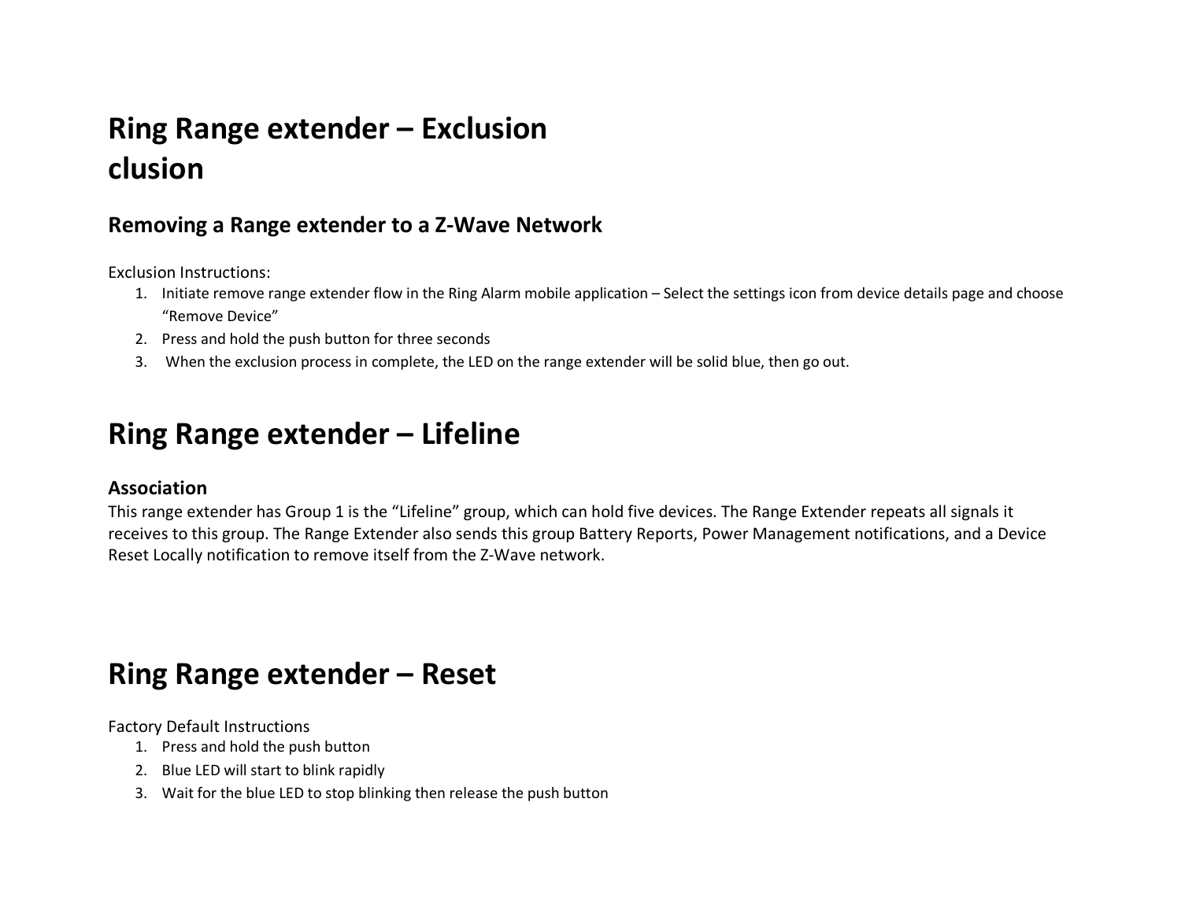## **Ring Range extender – Exclusion clusion**

#### **Removing a Range extender to a Z-Wave Network**

Exclusion Instructions:

- 1. Initiate remove range extender flow in the Ring Alarm mobile application Select the settings icon from device details page and choose "Remove Device"
- 2. Press and hold the push button for three seconds
- 3. When the exclusion process in complete, the LED on the range extender will be solid blue, then go out.

## **Ring Range extender – Lifeline**

#### **Association**

This range extender has Group 1 is the "Lifeline" group, which can hold five devices. The Range Extender repeats all signals it receives to this group. The Range Extender also sends this group Battery Reports, Power Management notifications, and a Device Reset Locally notification to remove itself from the Z-Wave network.

### **Ring Range extender – Reset**

Factory Default Instructions

- 1. Press and hold the push button
- 2. Blue LED will start to blink rapidly
- 3. Wait for the blue LED to stop blinking then release the push button